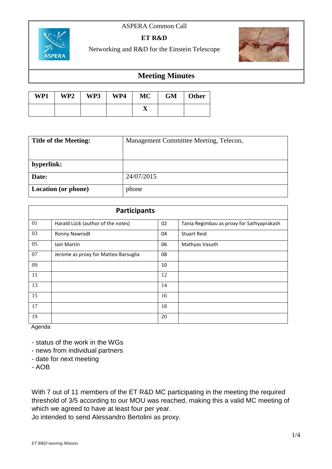## ASPERA Common Call



## **ET R&D**

Networking and R&D for the Einstein Telescope



## **Meeting Minutes**

| WP1 | WP2 | WP3 | WP4 | MC | GM | Other |
|-----|-----|-----|-----|----|----|-------|
|     |     |     |     | л  |    |       |

| <b>Title of the Meeting:</b> | Management Committee Meeting, Telecon, |  |  |
|------------------------------|----------------------------------------|--|--|
|                              |                                        |  |  |
| hyperlink:                   |                                        |  |  |
| Date:                        | 24/07/2015                             |  |  |
| <b>Location (or phone)</b>   | phone                                  |  |  |

| <b>Participants</b> |                                      |    |                                           |  |  |
|---------------------|--------------------------------------|----|-------------------------------------------|--|--|
| 01                  | Harald Lück (author of the notes)    | 02 | Tania Regimbau as proxy for Sathyaprakash |  |  |
| 03                  | Ronny Nawrodt                        | 04 | <b>Stuart Reid</b>                        |  |  |
| 05                  | lain Martin                          | 06 | Mathyas Vasuth                            |  |  |
| 07                  | Jerome as proxy for Matteo Barsuglia | 08 |                                           |  |  |
| 09                  |                                      | 10 |                                           |  |  |
| 11                  |                                      | 12 |                                           |  |  |
| 13                  |                                      | 14 |                                           |  |  |
| 15                  |                                      | 16 |                                           |  |  |
| 17                  |                                      | 18 |                                           |  |  |
| 19                  |                                      | 20 |                                           |  |  |

Agenda

- status of the work in the WGs

- news from individual partners
- date for next meeting

- AOB

With 7 out of 11 members of the ET R&D MC participating in the meeting the required threshold of 3/5 according to our MOU was reached, making this a valid MC meeting of which we agreed to have at least four per year.

Jo intended to send Alessandro Bertolini as proxy.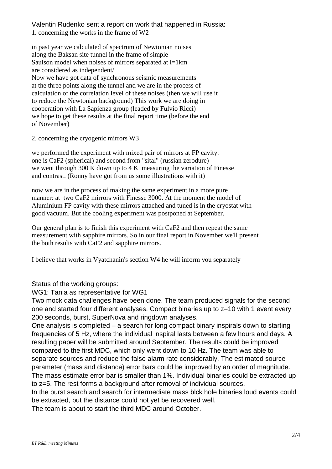Valentin Rudenko sent a report on work that happened in Russia: 1. concerning the works in the frame of W2

in past year we calculated of spectrum of Newtonian noises along the Baksan site tunnel in the frame of simple Saulson model when noises of mirrors separated at l=1km are considered as independent/ Now we have got data of synchronous seismic measurements at the three points along the tunnel and we are in the process of calculation of the correlation level of these noises (then we will use it to reduce the Newtonian background) This work we are doing in cooperation with La Sapienza group (leaded by Fulvio Ricci) we hope to get these results at the final report time (before the end of November)

2. concerning the cryogenic mirrors W3

we performed the experiment with mixed pair of mirrors at FP cavity: one is CaF2 (spherical) and second from "sital" (russian zerodure) we went through 300 K down up to 4 K measuring the variation of Finesse and contrast. (Ronny have got from us some illustrations with it)

now we are in the process of making the same experiment in a more pure manner: at two CaF2 mirrors with Finesse 3000. At the moment the model of Aluminium FP cavity with these mirrors attached and tuned is in the cryostat with good vacuum. But the cooling experiment was postponed at September.

Our general plan is to finish this experiment with CaF2 and then repeat the same measurement with sapphire mirrors. So in our final report in November we'll present the both results with CaF2 and sapphire mirrors.

I believe that works in Vyatchanin's section W4 he will inform you separately

Status of the working groups:

WG1: Tania as representative for WG1

Two mock data challenges have been done. The team produced signals for the second one and started four different analyses. Compact binaries up to z=10 with 1 event every 200 seconds, burst, SuperNova and ringdown analyses.

One analysis is completed – a search for long compact binary inspirals down to starting frequencies of 5 Hz, where the individual inspiral lasts between a few hours and days. A resulting paper will be submitted around September. The results could be improved compared to the first MDC, which only went down to 10 Hz. The team was able to separate sources and reduce the false alarm rate considerably. The estimated source parameter (mass and distance) error bars could be improved by an order of magnitude. The mass estimate error bar is smaller than 1%. Individual binaries could be extracted up to z=5. The rest forms a background after removal of individual sources.

In the burst search and search for intermediate mass blck hole binaries loud events could be extracted, but the distance could not yet be recovered well.

The team is about to start the third MDC around October.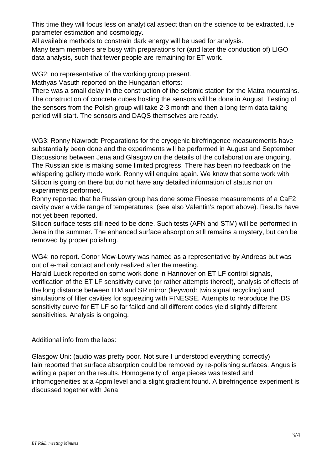This time they will focus less on analytical aspect than on the science to be extracted, i.e. parameter estimation and cosmology.

All available methods to constrain dark energy will be used for analysis.

Many team members are busy with preparations for (and later the conduction of) LIGO data analysis, such that fewer people are remaining for ET work.

WG2: no representative of the working group present.

Mathyas Vasuth reported on the Hungarian efforts:

There was a small delay in the construction of the seismic station for the Matra mountains. The construction of concrete cubes hosting the sensors will be done in August. Testing of the sensors from the Polish group will take 2-3 month and then a long term data taking period will start. The sensors and DAQS themselves are ready.

WG3: Ronny Nawrodt: Preparations for the cryogenic birefringence measurements have substantially been done and the experiments will be performed in August and September. Discussions between Jena and Glasgow on the details of the collaboration are ongoing. The Russian side is making some limited progress. There has been no feedback on the whispering gallery mode work. Ronny will enquire again. We know that some work with Silicon is going on there but do not have any detailed information of status nor on experiments performed.

Ronny reported that he Russian group has done some Finesse measurements of a CaF2 cavity over a wide range of temperatures (see also Valentin's report above). Results have not yet been reported.

Silicon surface tests still need to be done. Such tests (AFN and STM) will be performed in Jena in the summer. The enhanced surface absorption still remains a mystery, but can be removed by proper polishing.

WG4: no report. Conor Mow-Lowry was named as a representative by Andreas but was out of e-mail contact and only realized after the meeting.

Harald Lueck reported on some work done in Hannover on ET LF control signals, verification of the ET LF sensitivity curve (or rather attempts thereof), analysis of effects of the long distance between ITM and SR mirror (keyword: twin signal recycling) and simulations of filter cavities for squeezing with FINESSE. Attempts to reproduce the DS sensitivity curve for ET LF so far failed and all different codes yield slightly different sensitivities. Analysis is ongoing.

Additional info from the labs:

Glasgow Uni: (audio was pretty poor. Not sure I understood everything correctly) Iain reported that surface absorption could be removed by re-polishing surfaces. Angus is writing a paper on the results. Homogeneity of large pieces was tested and inhomogeneities at a 4ppm level and a slight gradient found. A birefringence experiment is discussed together with Jena.